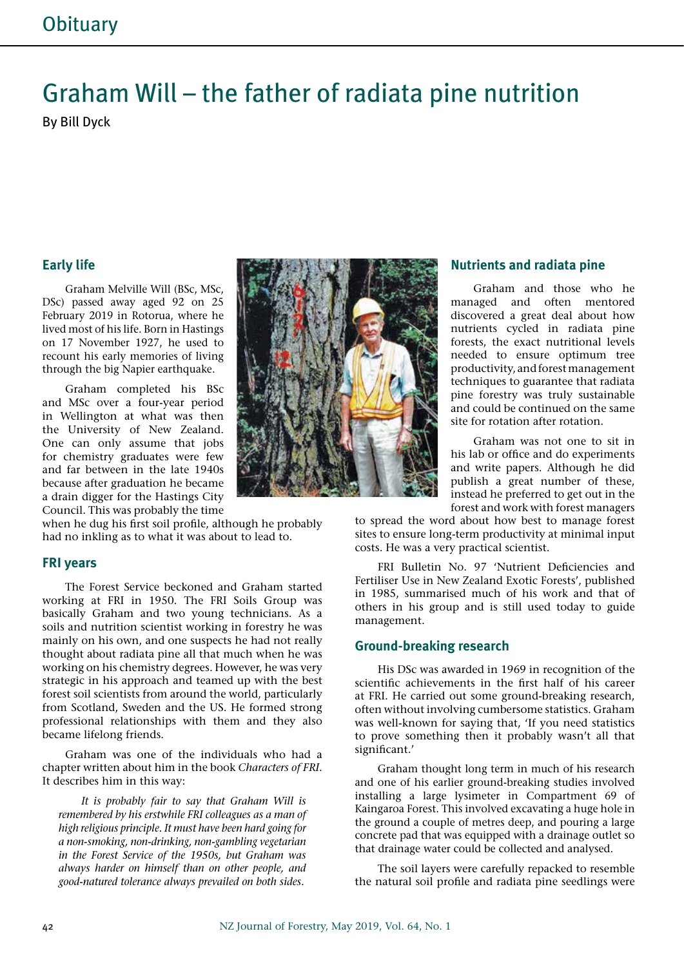# Graham Will – the father of radiata pine nutrition

By Bill Dyck

# **Early life**

Graham Melville Will (BSc, MSc, DSc) passed away aged 92 on 25 February 2019 in Rotorua, where he lived most of his life. Born in Hastings on 17 November 1927, he used to recount his early memories of living through the big Napier earthquake.

Graham completed his BSc and MSc over a four-year period in Wellington at what was then the University of New Zealand. One can only assume that jobs for chemistry graduates were few and far between in the late 1940s because after graduation he became a drain digger for the Hastings City Council. This was probably the time

when he dug his first soil profile, although he probably had no inkling as to what it was about to lead to.

## **FRI years**

The Forest Service beckoned and Graham started working at FRI in 1950. The FRI Soils Group was basically Graham and two young technicians. As a soils and nutrition scientist working in forestry he was mainly on his own, and one suspects he had not really thought about radiata pine all that much when he was working on his chemistry degrees. However, he was very strategic in his approach and teamed up with the best forest soil scientists from around the world, particularly from Scotland, Sweden and the US. He formed strong professional relationships with them and they also became lifelong friends.

Graham was one of the individuals who had a chapter written about him in the book *Characters of FRI*. It describes him in this way:

*It is probably fair to say that Graham Will is remembered by his erstwhile FRI colleagues as a man of high religious principle. It must have been hard going for a non-smoking, non-drinking, non-gambling vegetarian in the Forest Service of the 1950s, but Graham was always harder on himself than on other people, and good-natured tolerance always prevailed on both sides.*



## **Nutrients and radiata pine**

Graham and those who he managed and often mentored discovered a great deal about how nutrients cycled in radiata pine forests, the exact nutritional levels needed to ensure optimum tree productivity, and forest management techniques to guarantee that radiata pine forestry was truly sustainable and could be continued on the same site for rotation after rotation.

Graham was not one to sit in his lab or office and do experiments and write papers. Although he did publish a great number of these, instead he preferred to get out in the forest and work with forest managers

to spread the word about how best to manage forest sites to ensure long-term productivity at minimal input costs. He was a very practical scientist.

FRI Bulletin No. 97 'Nutrient Deficiencies and Fertiliser Use in New Zealand Exotic Forests', published in 1985, summarised much of his work and that of others in his group and is still used today to guide management.

#### **Ground-breaking research**

His DSc was awarded in 1969 in recognition of the scientific achievements in the first half of his career at FRI. He carried out some ground-breaking research, often without involving cumbersome statistics. Graham was well-known for saying that, 'If you need statistics to prove something then it probably wasn't all that significant.'

Graham thought long term in much of his research and one of his earlier ground-breaking studies involved installing a large lysimeter in Compartment 69 of Kaingaroa Forest. This involved excavating a huge hole in the ground a couple of metres deep, and pouring a large concrete pad that was equipped with a drainage outlet so that drainage water could be collected and analysed.

The soil layers were carefully repacked to resemble the natural soil profile and radiata pine seedlings were